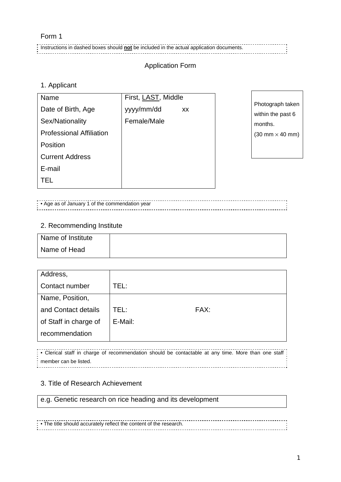#### Form 1

Instructions in dashed boxes should **not** be included in the actual application documents.

# Application Form

#### 1. Applicant

| Name                            | First, LAST, Middle |                                        |
|---------------------------------|---------------------|----------------------------------------|
| Date of Birth, Age              | yyyy/mm/dd<br>XX    | Photograph taken<br>within the past 6  |
| Sex/Nationality                 | Female/Male         | months.                                |
| <b>Professional Affiliation</b> |                     | $(30 \text{ mm} \times 40 \text{ mm})$ |
| Position                        |                     |                                        |
| <b>Current Address</b>          |                     |                                        |
| E-mail                          |                     |                                        |
| TEL                             |                     |                                        |
|                                 |                     |                                        |

• Age as of January 1 of the commendation year

### 2. Recommending Institute

| Name of Institute |  |
|-------------------|--|
| Name of Head      |  |

| Address,              |         |      |
|-----------------------|---------|------|
| Contact number        | TEL:    |      |
| Name, Position,       |         |      |
| and Contact details   | TEL:    | FAX: |
| of Staff in charge of | E-Mail: |      |
| recommendation        |         |      |

• Clerical staff in charge of recommendation should be contactable at any time. More than one staff member can be listed. 

#### 3. Title of Research Achievement

e.g. Genetic research on rice heading and its development

• The title should accurately reflect the content of the research.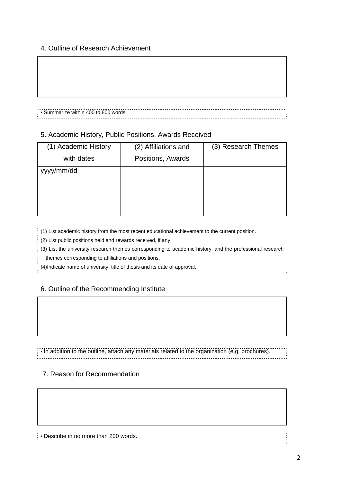#### 4. Outline of Research Achievement

#### • Summarize within 400 to 800 words.

#### 5. Academic History, Public Positions, Awards Received

| (2) Affiliations and | (3) Research Themes |
|----------------------|---------------------|
| Positions, Awards    |                     |
|                      |                     |
|                      |                     |
|                      |                     |
|                      |                     |
|                      |                     |

#### (1) List academic history from the most recent educational achievement to the current position.

(2) List public positions held and rewards received, if any.

(3) List the university research themes corresponding to academic history, and the professional research

themes corresponding to affiliations and positions.

(4)Indicate name of university, title of thesis and its date of approval.

#### 6. Outline of the Recommending Institute

• In addition to the outline, attach any materials related to the organization (e.g. brochures).

#### 7. Reason for Recommendation

• Describe in no more than 200 words.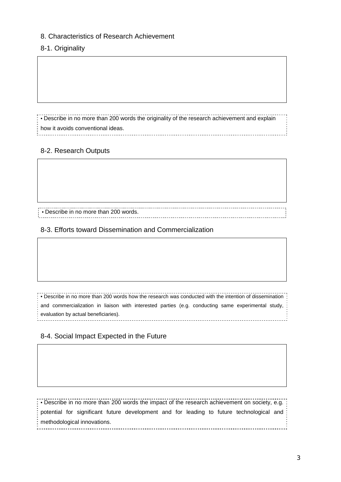#### 8. Characteristics of Research Achievement

#### 8-1. Originality

• Describe in no more than 200 words the originality of the research achievement and explain how it avoids conventional ideas.

# 8-2. Research Outputs

• Describe in no more than 200 words.

8-3. Efforts toward Dissemination and Commercialization

• Describe in no more than 200 words how the research was conducted with the intention of dissemination and commercialization in liaison with interested parties (e.g. conducting same experimental study, evaluation by actual beneficiaries).

#### 8-4. Social Impact Expected in the Future

• Describe in no more than 200 words the impact of the research achievement on society, e.g. potential for significant future development and for leading to future technological and methodological innovations.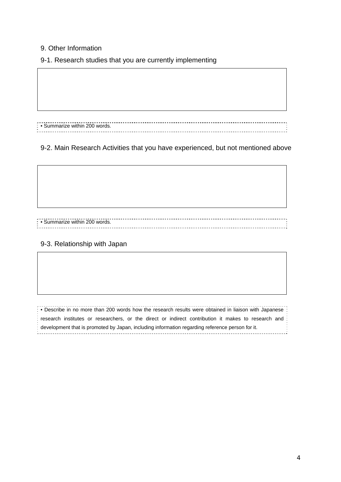### 9. Other Information

9-1. Research studies that you are currently implementing

• Summarize within 200 words.

# 9-2. Main Research Activities that you have experienced, but not mentioned above

• Summarize within 200 words.

#### 9-3. Relationship with Japan

• Describe in no more than 200 words how the research results were obtained in liaison with Japanese research institutes or researchers, or the direct or indirect contribution it makes to research and development that is promoted by Japan, including information regarding reference person for it.